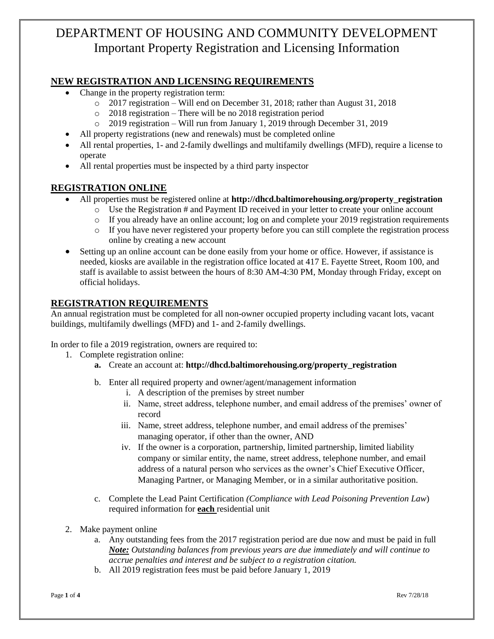# DEPARTMENT OF HOUSING AND COMMUNITY DEVELOPMENT Important Property Registration and Licensing Information

## **NEW REGISTRATION AND LICENSING REQUIREMENTS**

- Change in the property registration term:
	- o 2017 registration Will end on December 31, 2018; rather than August 31, 2018
	- o 2018 registration There will be no 2018 registration period
	- o 2019 registration Will run from January 1, 2019 through December 31, 2019
- All property registrations (new and renewals) must be completed online
- All rental properties, 1- and 2-family dwellings and multifamily dwellings (MFD), require a license to operate
- All rental properties must be inspected by a third party inspector

## **REGISTRATION ONLINE**

- All properties must be registered online at **http://dhcd.baltimorehousing.org/property\_registration**
	- $\circ$  Use the Registration # and Payment ID received in your letter to create your online account
	- o If you already have an online account; log on and complete your 2019 registration requirements
	- o If you have never registered your property before you can still complete the registration process online by creating a new account
- Setting up an online account can be done easily from your home or office. However, if assistance is needed, kiosks are available in the registration office located at 417 E. Fayette Street, Room 100, and staff is available to assist between the hours of 8:30 AM-4:30 PM, Monday through Friday, except on official holidays.

## **REGISTRATION REQUIREMENTS**

An annual registration must be completed for all non-owner occupied property including vacant lots, vacant buildings, multifamily dwellings (MFD) and 1- and 2-family dwellings.

In order to file a 2019 registration, owners are required to:

- 1. Complete registration online:
	- **a.** Create an account at: **http://dhcd.baltimorehousing.org/property\_registration**
	- b. Enter all required property and owner/agent/management information
		- i. A description of the premises by street number
		- ii. Name, street address, telephone number, and email address of the premises' owner of record
		- iii. Name, street address, telephone number, and email address of the premises' managing operator, if other than the owner, AND
		- iv. If the owner is a corporation, partnership, limited partnership, limited liability company or similar entity, the name, street address, telephone number, and email address of a natural person who services as the owner's Chief Executive Officer, Managing Partner, or Managing Member, or in a similar authoritative position.
	- c. Complete the Lead Paint Certification *(Compliance with Lead Poisoning Prevention Law*) required information for **each** residential unit
- 2. Make payment online
	- a. Any outstanding fees from the 2017 registration period are due now and must be paid in full *Note: Outstanding balances from previous years are due immediately and will continue to accrue penalties and interest and be subject to a registration citation.*
	- b. All 2019 registration fees must be paid before January 1, 2019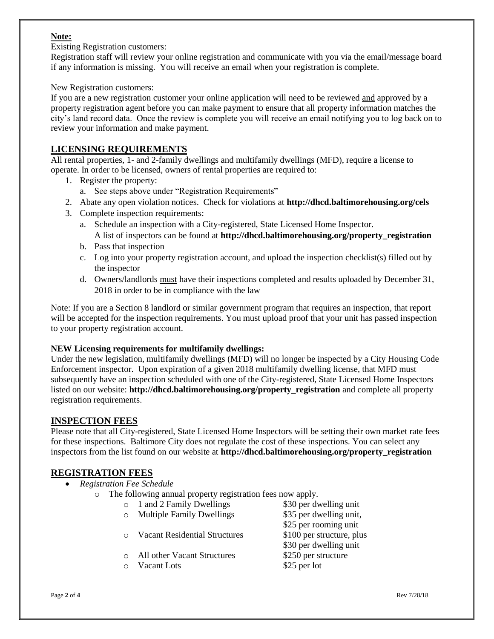#### **Note:**

Existing Registration customers:

Registration staff will review your online registration and communicate with you via the email/message board if any information is missing. You will receive an email when your registration is complete.

New Registration customers:

If you are a new registration customer your online application will need to be reviewed and approved by a property registration agent before you can make payment to ensure that all property information matches the city's land record data. Once the review is complete you will receive an email notifying you to log back on to review your information and make payment.

## **LICENSING REQUIREMENTS**

All rental properties, 1- and 2-family dwellings and multifamily dwellings (MFD), require a license to operate. In order to be licensed, owners of rental properties are required to:

- 1. Register the property:
	- a. See steps above under "Registration Requirements"
- 2. Abate any open violation notices. Check for violations at **<http://dhcd.baltimorehousing.org/cels>**
- 3. Complete inspection requirements:
	- a. Schedule an inspection with a City-registered, State Licensed Home Inspector. A list of inspectors can be found at **http://dhcd.baltimorehousing.org/property\_registration**
	- b. Pass that inspection
	- c. Log into your property registration account, and upload the inspection checklist(s) filled out by the inspector
	- d. Owners/landlords must have their inspections completed and results uploaded by December 31, 2018 in order to be in compliance with the law

Note: If you are a Section 8 landlord or similar government program that requires an inspection, that report will be accepted for the inspection requirements. You must upload proof that your unit has passed inspection to your property registration account.

#### **NEW Licensing requirements for multifamily dwellings:**

Under the new legislation, multifamily dwellings (MFD) will no longer be inspected by a City Housing Code Enforcement inspector. Upon expiration of a given 2018 multifamily dwelling license, that MFD must subsequently have an inspection scheduled with one of the City-registered, State Licensed Home Inspectors listed on our website: **http://dhcd.baltimorehousing.org/property\_registration** and complete all property registration requirements.

## **INSPECTION FEES**

Please note that all City-registered, State Licensed Home Inspectors will be setting their own market rate fees for these inspections. Baltimore City does not regulate the cost of these inspections. You can select any inspectors from the list found on our website at **http://dhcd.baltimorehousing.org/property\_registration**

## **REGISTRATION FEES**

- *Registration Fee Schedule*
	- o The following annual property registration fees now apply.
		- o 1 and 2 Family Dwellings \$30 per dwelling unit o Multiple Family Dwellings \$35 per dwelling unit, \$25 per rooming unit o Vacant Residential Structures \$100 per structure, plus \$30 per dwelling unit
		- o All other Vacant Structures \$250 per structure
		- o Vacant Lots \$25 per lot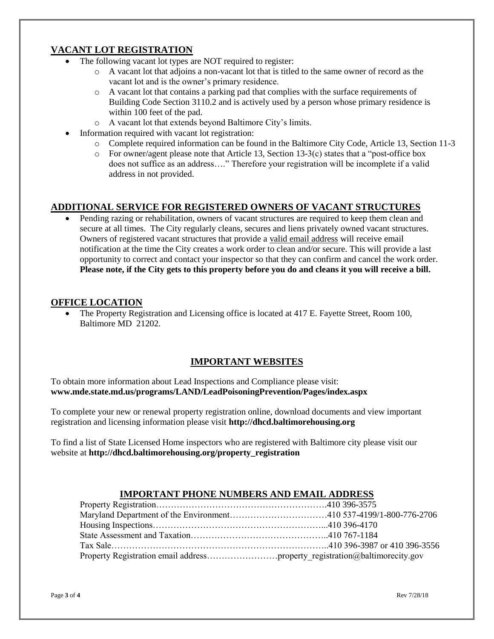## **VACANT LOT REGISTRATION**

- The following vacant lot types are NOT required to register:
	- o A vacant lot that adjoins a non-vacant lot that is titled to the same owner of record as the vacant lot and is the owner's primary residence.
	- o A vacant lot that contains a parking pad that complies with the surface requirements of Building Code Section 3110.2 and is actively used by a person whose primary residence is within 100 feet of the pad.
	- o A vacant lot that extends beyond Baltimore City's limits.
- Information required with vacant lot registration:
	- o Complete required information can be found in the Baltimore City Code, Article 13, Section 11-3
	- $\circ$  For owner/agent please note that Article 13, Section 13-3(c) states that a "post-office box does not suffice as an address…." Therefore your registration will be incomplete if a valid address in not provided.

## **ADDITIONAL SERVICE FOR REGISTERED OWNERS OF VACANT STRUCTURES**

 Pending razing or rehabilitation, owners of vacant structures are required to keep them clean and secure at all times. The City regularly cleans, secures and liens privately owned vacant structures. Owners of registered vacant structures that provide a valid email address will receive email notification at the time the City creates a work order to clean and/or secure. This will provide a last opportunity to correct and contact your inspector so that they can confirm and cancel the work order. **Please note, if the City gets to this property before you do and cleans it you will receive a bill.** 

#### **OFFICE LOCATION**

 The Property Registration and Licensing office is located at 417 E. Fayette Street, Room 100, Baltimore MD 21202.

## **IMPORTANT WEBSITES**

To obtain more information about Lead Inspections and Compliance please visit: **[www.mde.state.md.us/programs/LAND/LeadPoisoningPrevention/Pages/index.aspx](http://www.mde.state.md.us/programs/LAND/LeadPoisoningPrevention/Pages/index.aspx)**

To complete your new or renewal property registration online, download documents and view important registration and licensing information please visit **http://dhcd.baltimorehousing.org**

To find a list of State Licensed Home inspectors who are registered with Baltimore city please visit our website at **http://dhcd.baltimorehousing.org/property\_registration**

## **IMPORTANT PHONE NUMBERS AND EMAIL ADDRESS**

| Property Registration email addressproperty registration@baltimorecity.gov |  |
|----------------------------------------------------------------------------|--|